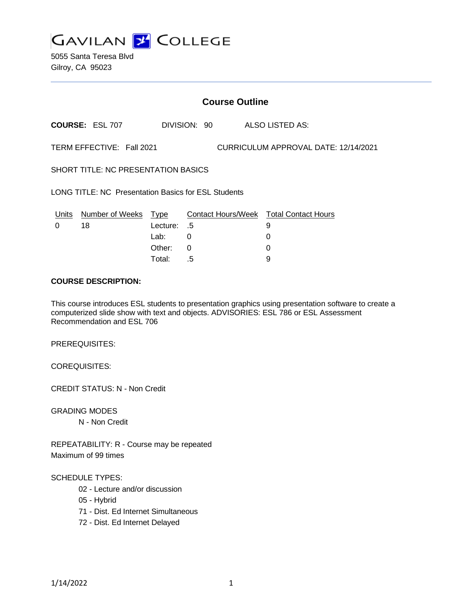

5055 Santa Teresa Blvd Gilroy, CA 95023

### **Course Outline**

**COURSE:** ESL 707 DIVISION: 90 ALSO LISTED AS:

TERM EFFECTIVE: Fall 2021 CURRICULUM APPROVAL DATE: 12/14/2021

SHORT TITLE: NC PRESENTATION BASICS

LONG TITLE: NC Presentation Basics for ESL Students

|          | Units Number of Weeks Type |             | Contact Hours/Week  Total Contact Hours |  |
|----------|----------------------------|-------------|-----------------------------------------|--|
| $\Omega$ | 18                         | 5. Lecture: |                                         |  |
|          |                            | Lab:        |                                         |  |
|          |                            | Other: 0    |                                         |  |
|          |                            | Total:      | - 5                                     |  |

#### **COURSE DESCRIPTION:**

This course introduces ESL students to presentation graphics using presentation software to create a computerized slide show with text and objects. ADVISORIES: ESL 786 or ESL Assessment Recommendation and ESL 706

PREREQUISITES:

COREQUISITES:

CREDIT STATUS: N - Non Credit

GRADING MODES

N - Non Credit

REPEATABILITY: R - Course may be repeated Maximum of 99 times

#### SCHEDULE TYPES:

- 02 Lecture and/or discussion
- 05 Hybrid
- 71 Dist. Ed Internet Simultaneous
- 72 Dist. Ed Internet Delayed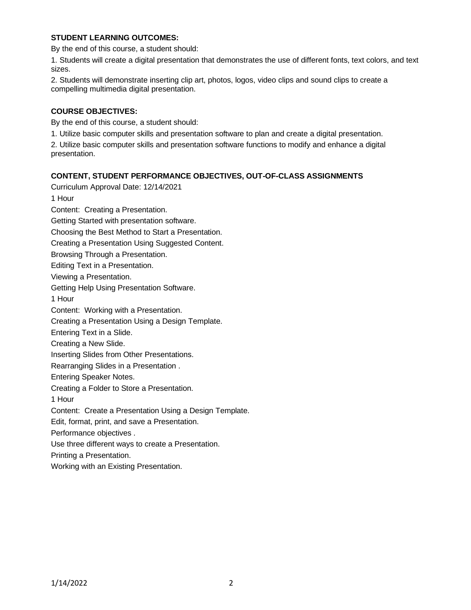### **STUDENT LEARNING OUTCOMES:**

By the end of this course, a student should:

1. Students will create a digital presentation that demonstrates the use of different fonts, text colors, and text sizes.

2. Students will demonstrate inserting clip art, photos, logos, video clips and sound clips to create a compelling multimedia digital presentation.

## **COURSE OBJECTIVES:**

By the end of this course, a student should:

1. Utilize basic computer skills and presentation software to plan and create a digital presentation.

2. Utilize basic computer skills and presentation software functions to modify and enhance a digital presentation.

# **CONTENT, STUDENT PERFORMANCE OBJECTIVES, OUT-OF-CLASS ASSIGNMENTS**

Curriculum Approval Date: 12/14/2021 1 Hour Content: Creating a Presentation. Getting Started with presentation software. Choosing the Best Method to Start a Presentation. Creating a Presentation Using Suggested Content. Browsing Through a Presentation. Editing Text in a Presentation. Viewing a Presentation. Getting Help Using Presentation Software. 1 Hour Content: Working with a Presentation. Creating a Presentation Using a Design Template. Entering Text in a Slide. Creating a New Slide. Inserting Slides from Other Presentations. Rearranging Slides in a Presentation . Entering Speaker Notes. Creating a Folder to Store a Presentation. 1 Hour Content: Create a Presentation Using a Design Template. Edit, format, print, and save a Presentation. Performance objectives . Use three different ways to create a Presentation. Printing a Presentation. Working with an Existing Presentation.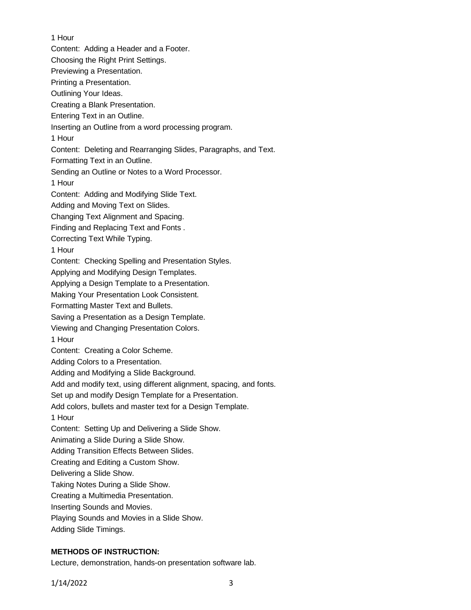1 Hour Content: Adding a Header and a Footer. Choosing the Right Print Settings. Previewing a Presentation. Printing a Presentation. Outlining Your Ideas. Creating a Blank Presentation. Entering Text in an Outline. Inserting an Outline from a word processing program. 1 Hour Content: Deleting and Rearranging Slides, Paragraphs, and Text. Formatting Text in an Outline. Sending an Outline or Notes to a Word Processor. 1 Hour Content: Adding and Modifying Slide Text. Adding and Moving Text on Slides. Changing Text Alignment and Spacing. Finding and Replacing Text and Fonts . Correcting Text While Typing. 1 Hour Content: Checking Spelling and Presentation Styles. Applying and Modifying Design Templates. Applying a Design Template to a Presentation. Making Your Presentation Look Consistent. Formatting Master Text and Bullets. Saving a Presentation as a Design Template. Viewing and Changing Presentation Colors. 1 Hour Content: Creating a Color Scheme. Adding Colors to a Presentation. Adding and Modifying a Slide Background. Add and modify text, using different alignment, spacing, and fonts. Set up and modify Design Template for a Presentation. Add colors, bullets and master text for a Design Template. 1 Hour Content: Setting Up and Delivering a Slide Show. Animating a Slide During a Slide Show. Adding Transition Effects Between Slides. Creating and Editing a Custom Show. Delivering a Slide Show. Taking Notes During a Slide Show. Creating a Multimedia Presentation. Inserting Sounds and Movies. Playing Sounds and Movies in a Slide Show.

### **METHODS OF INSTRUCTION:**

Adding Slide Timings.

Lecture, demonstration, hands-on presentation software lab.

1/14/2022 3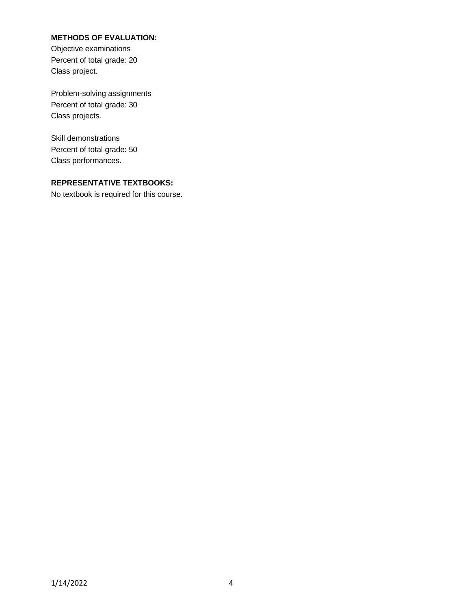## **METHODS OF EVALUATION:**

Objective examinations Percent of total grade: 20 Class project.

Problem-solving assignments Percent of total grade: 30 Class projects.

Skill demonstrations Percent of total grade: 50 Class performances.

# **REPRESENTATIVE TEXTBOOKS:**

No textbook is required for this course.